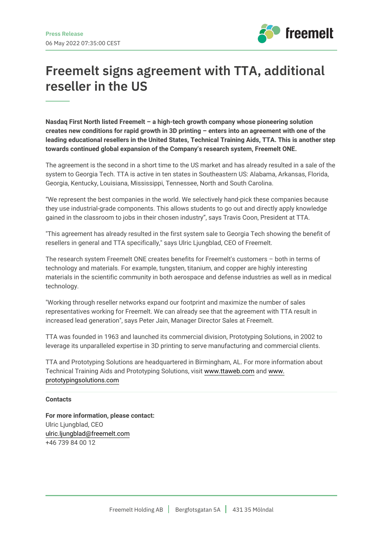

## **Freemelt signs agreement with TTA, additional reseller in the US**

**Nasdaq First North listed Freemelt – a high-tech growth company whose pioneering solution creates new conditions for rapid growth in 3D printing – enters into an agreement with one of the leading educational resellers in the United States, Technical Training Aids, TTA. This is another step towards continued global expansion of the Company's research system, Freemelt ONE.**

The agreement is the second in a short time to the US market and has already resulted in a sale of the system to Georgia Tech. TTA is active in ten states in Southeastern US: Alabama, Arkansas, Florida, Georgia, Kentucky, Louisiana, Mississippi, Tennessee, North and South Carolina.

"We represent the best companies in the world. We selectively hand-pick these companies because they use industrial-grade components. This allows students to go out and directly apply knowledge gained in the classroom to jobs in their chosen industry", says Travis Coon, President at TTA.

"This agreement has already resulted in the first system sale to Georgia Tech showing the benefit of resellers in general and TTA specifically," says Ulric Ljungblad, CEO of Freemelt.

The research system Freemelt ONE creates benefits for Freemelt's customers – both in terms of technology and materials. For example, tungsten, titanium, and copper are highly interesting materials in the scientific community in both aerospace and defense industries as well as in medical technology.

"Working through reseller networks expand our footprint and maximize the number of sales representatives working for Freemelt. We can already see that the agreement with TTA result in increased lead generation", says Peter Jain, Manager Director Sales at Freemelt.

TTA was founded in 1963 and launched its commercial division, Prototyping Solutions, in 2002 to leverage its unparalleled expertise in 3D printing to serve manufacturing and commercial clients.

TTA and Prototyping Solutions are headquartered in Birmingham, AL. For more information about Technical Training Aids and Prototyping Solutions, visit www.ttaweb.com and www. prototypingsolutions.com

## **Contacts**

**For more information, please contact:** Ulric Ljungblad, CEO [ulric.ljungblad@freemelt.com](mailto:ulric.ljungblad@freemelt.com) +46 739 84 00 12